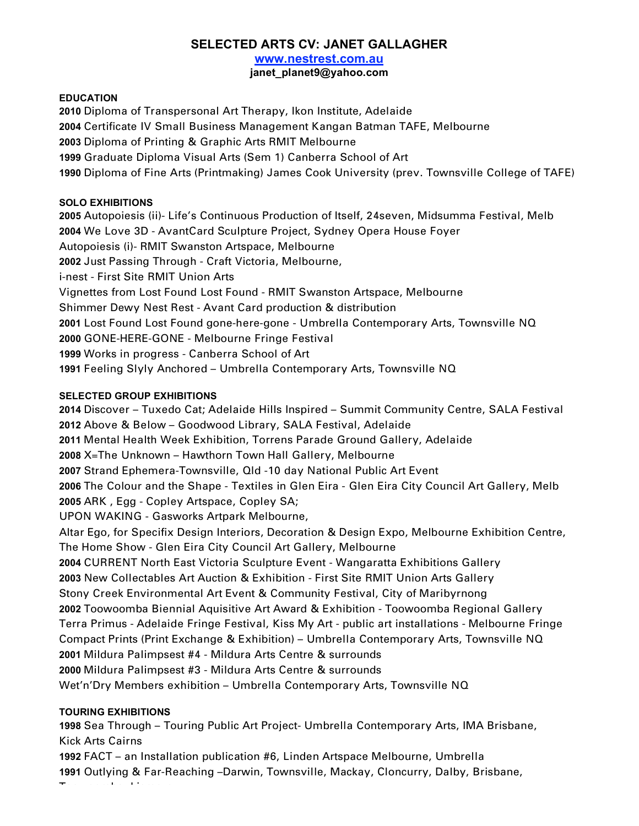# **SELECTED ARTS CV: JANET GALLAGHER**

**www.nestrest.com.au**

**janet\_planet9@yahoo.com**

#### **EDUCATION**

 Diploma of Transpersonal Art Therapy, Ikon Institute, Adelaide Certificate IV Small Business Management Kangan Batman TAFE, Melbourne Diploma of Printing & Graphic Arts RMIT Melbourne Graduate Diploma Visual Arts (Sem 1) Canberra School of Art Diploma of Fine Arts (Printmaking) James Cook University (prev. Townsville College of TAFE)

## **SOLO EXHIBITIONS**

 Autopoiesis (ii)- Life's Continuous Production of Itself, 24seven, Midsumma Festival, Melb We Love 3D - AvantCard Sculpture Project, Sydney Opera House Foyer Autopoiesis (i)- RMIT Swanston Artspace, Melbourne Just Passing Through - Craft Victoria, Melbourne, i-nest - First Site RMIT Union Arts Vignettes from Lost Found Lost Found - RMIT Swanston Artspace, Melbourne Shimmer Dewy Nest Rest - Avant Card production & distribution Lost Found Lost Found gone-here-gone - Umbrella Contemporary Arts, Townsville NQ GONE-HERE-GONE - Melbourne Fringe Festival Works in progress - Canberra School of Art Feeling Slyly Anchored – Umbrella Contemporary Arts, Townsville NQ

# **SELECTED GROUP EXHIBITIONS**

 Discover – Tuxedo Cat; Adelaide Hills Inspired – Summit Community Centre, SALA Festival Above & Below – Goodwood Library, SALA Festival, Adelaide Mental Health Week Exhibition, Torrens Parade Ground Gallery, Adelaide X=The Unknown – Hawthorn Town Hall Gallery, Melbourne Strand Ephemera-Townsville, Qld -10 day National Public Art Event The Colour and the Shape - Textiles in Glen Eira - Glen Eira City Council Art Gallery, Melb ARK , Egg - Copley Artspace, Copley SA; UPON WAKING - Gasworks Artpark Melbourne, Altar Ego, for Specifix Design Interiors, Decoration & Design Expo, Melbourne Exhibition Centre, The Home Show - Glen Eira City Council Art Gallery, Melbourne CURRENT North East Victoria Sculpture Event - Wangaratta Exhibitions Gallery New Collectables Art Auction & Exhibition - First Site RMIT Union Arts Gallery Stony Creek Environmental Art Event & Community Festival, City of Maribyrnong Toowoomba Biennial Aquisitive Art Award & Exhibition - Toowoomba Regional Gallery Terra Primus - Adelaide Fringe Festival, Kiss My Art - public art installations - Melbourne Fringe Compact Prints (Print Exchange & Exhibition) – Umbrella Contemporary Arts, Townsville NQ Mildura Palimpsest #4 - Mildura Arts Centre & surrounds Mildura Palimpsest #3 - Mildura Arts Centre & surrounds Wet'n'Dry Members exhibition – Umbrella Contemporary Arts, Townsville NQ

## **TOURING EXHIBITIONS**

Toowoomba, Lismore

**1998** Sea Through – Touring Public Art Project- Umbrella Contemporary Arts, IMA Brisbane, Kick Arts Cairns

**1992** FACT – an Installation publication #6, Linden Artspace Melbourne, Umbrella **1991** Outlying & Far-Reaching –Darwin, Townsville, Mackay, Cloncurry, Dalby, Brisbane,